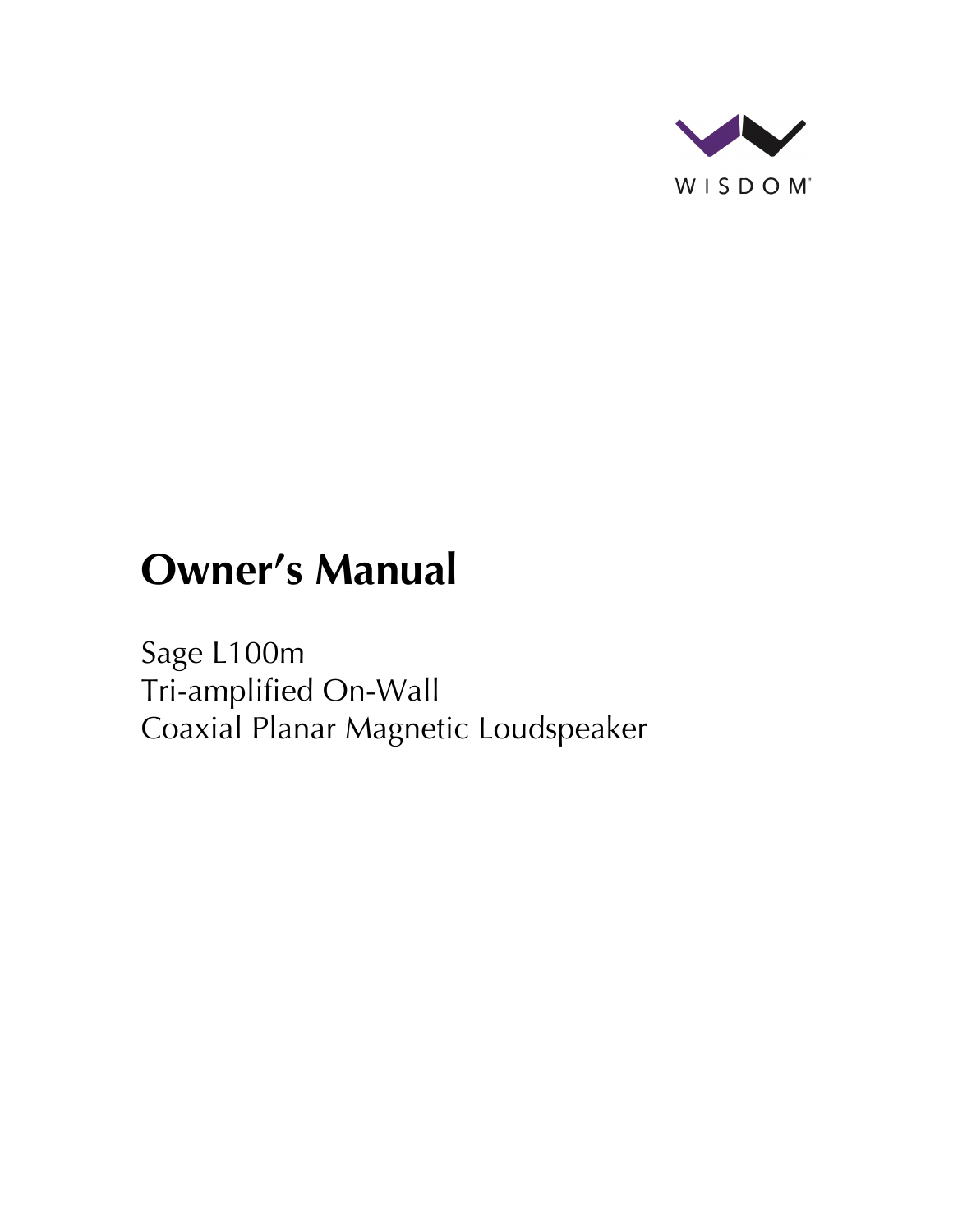

# **Owner's Manual**

Sage L100m Tri-amplified On-Wall Coaxial Planar Magnetic Loudspeaker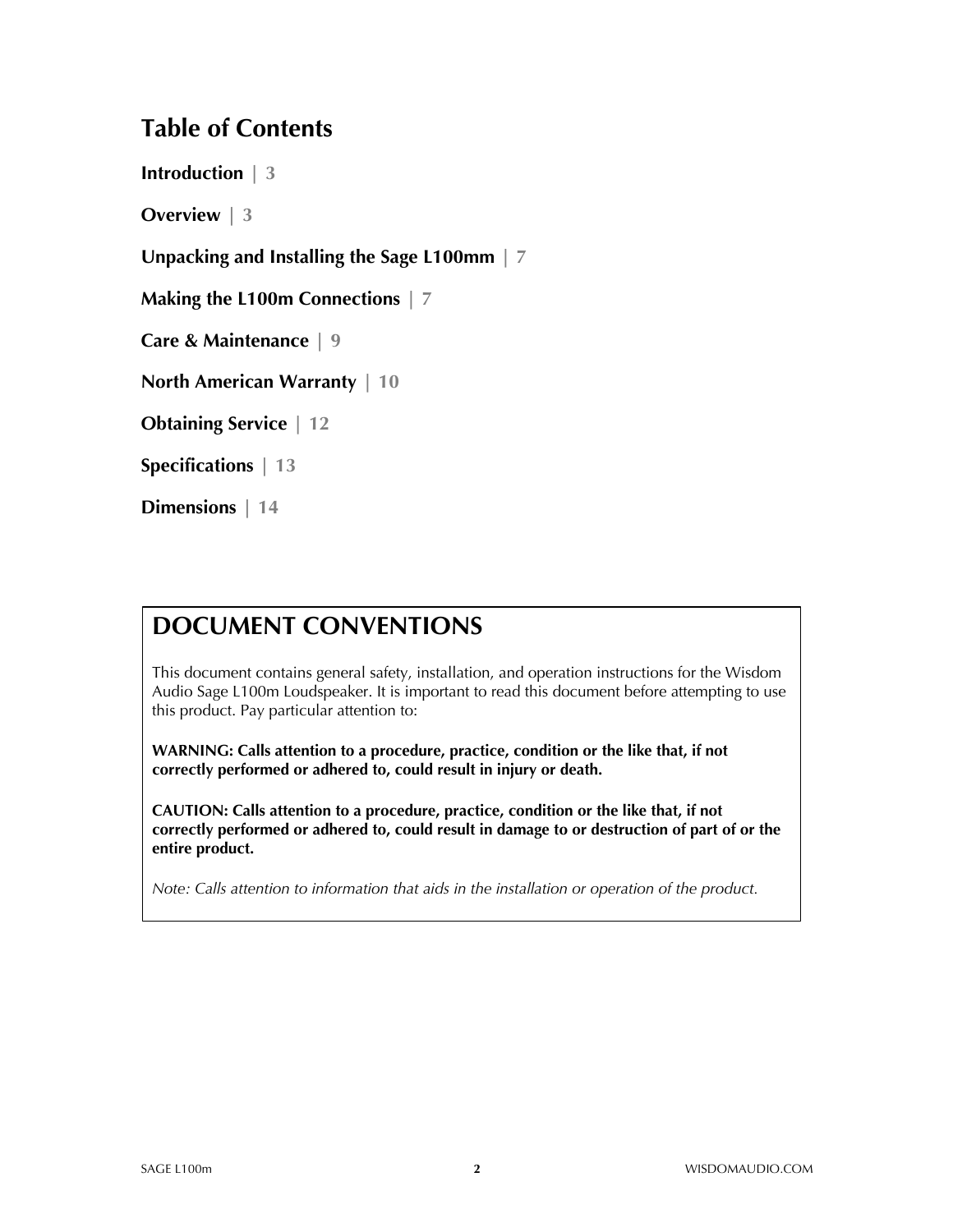#### **Table of Contents**

**Introduction | 3**

**Overview | 3**

**Unpacking and Installing the Sage L100mm | 7**

**Making the L100m Connections | 7**

**Care & Maintenance | 9**

**North American Warranty | 10**

**Obtaining Service | 12**

**Specifications | 13**

**Dimensions | 14**

#### **DOCUMENT CONVENTIONS**

This document contains general safety, installation, and operation instructions for the Wisdom Audio Sage L100m Loudspeaker. It is important to read this document before attempting to use this product. Pay particular attention to:

**WARNING: Calls attention to a procedure, practice, condition or the like that, if not correctly performed or adhered to, could result in injury or death.** 

**CAUTION: Calls attention to a procedure, practice, condition or the like that, if not correctly performed or adhered to, could result in damage to or destruction of part of or the entire product.** 

*Note: Calls attention to information that aids in the installation or operation of the product.*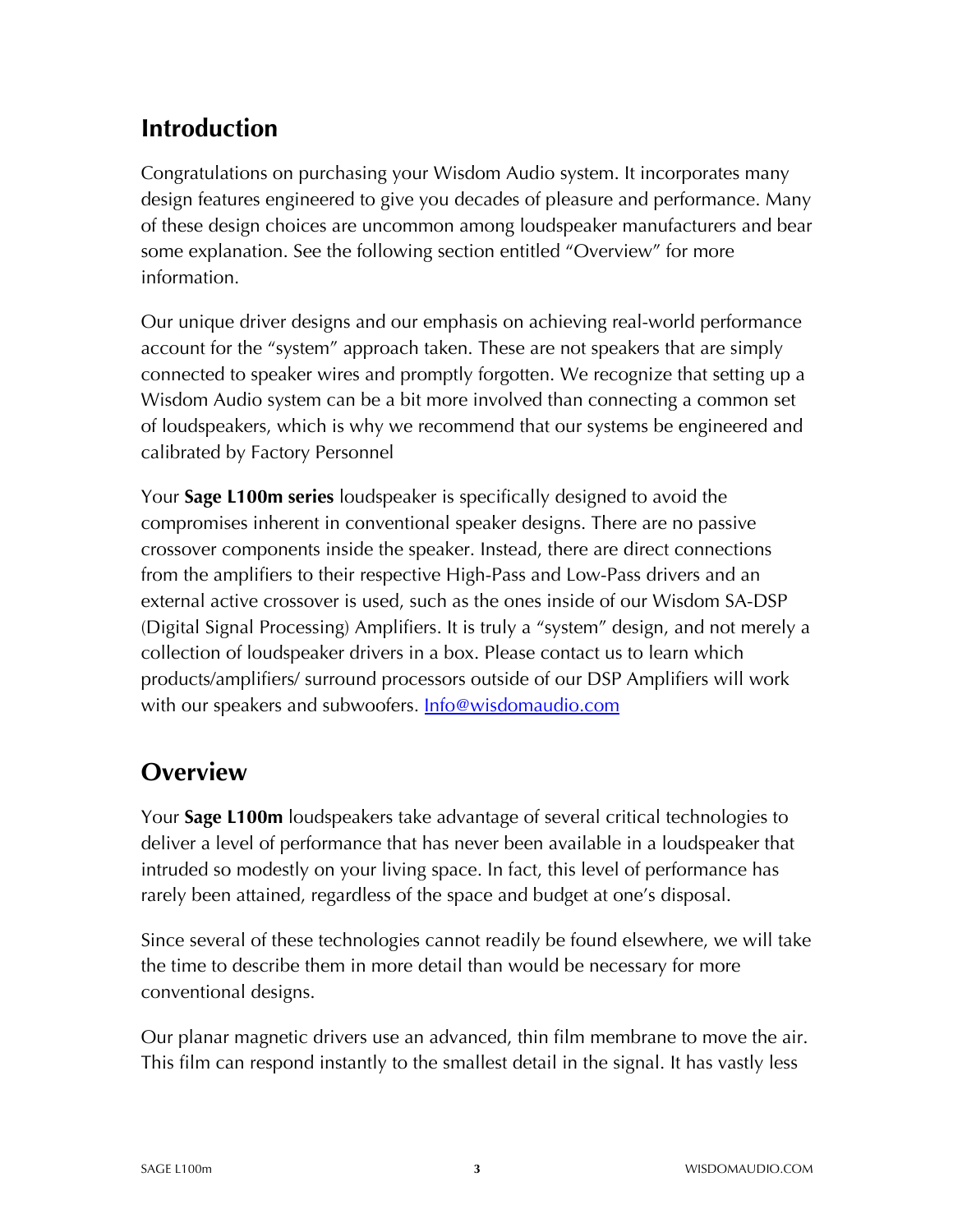### **Introduction**

Congratulations on purchasing your Wisdom Audio system. It incorporates many design features engineered to give you decades of pleasure and performance. Many of these design choices are uncommon among loudspeaker manufacturers and bear some explanation. See the following section entitled "Overview" for more information.

Our unique driver designs and our emphasis on achieving real-world performance account for the "system" approach taken. These are not speakers that are simply connected to speaker wires and promptly forgotten. We recognize that setting up a Wisdom Audio system can be a bit more involved than connecting a common set of loudspeakers, which is why we recommend that our systems be engineered and calibrated by Factory Personnel

Your **Sage L100m series** loudspeaker is specifically designed to avoid the compromises inherent in conventional speaker designs. There are no passive crossover components inside the speaker. Instead, there are direct connections from the amplifiers to their respective High-Pass and Low-Pass drivers and an external active crossover is used, such as the ones inside of our Wisdom SA-DSP (Digital Signal Processing) Amplifiers. It is truly a "system" design, and not merely a collection of loudspeaker drivers in a box. Please contact us to learn which products/amplifiers/ surround processors outside of our DSP Amplifiers will work with our speakers and subwoofers. **Info@wisdomaudio.com** 

## **Overview**

Your **Sage L100m** loudspeakers take advantage of several critical technologies to deliver a level of performance that has never been available in a loudspeaker that intruded so modestly on your living space. In fact, this level of performance has rarely been attained, regardless of the space and budget at one's disposal.

Since several of these technologies cannot readily be found elsewhere, we will take the time to describe them in more detail than would be necessary for more conventional designs.

Our planar magnetic drivers use an advanced, thin film membrane to move the air. This film can respond instantly to the smallest detail in the signal. It has vastly less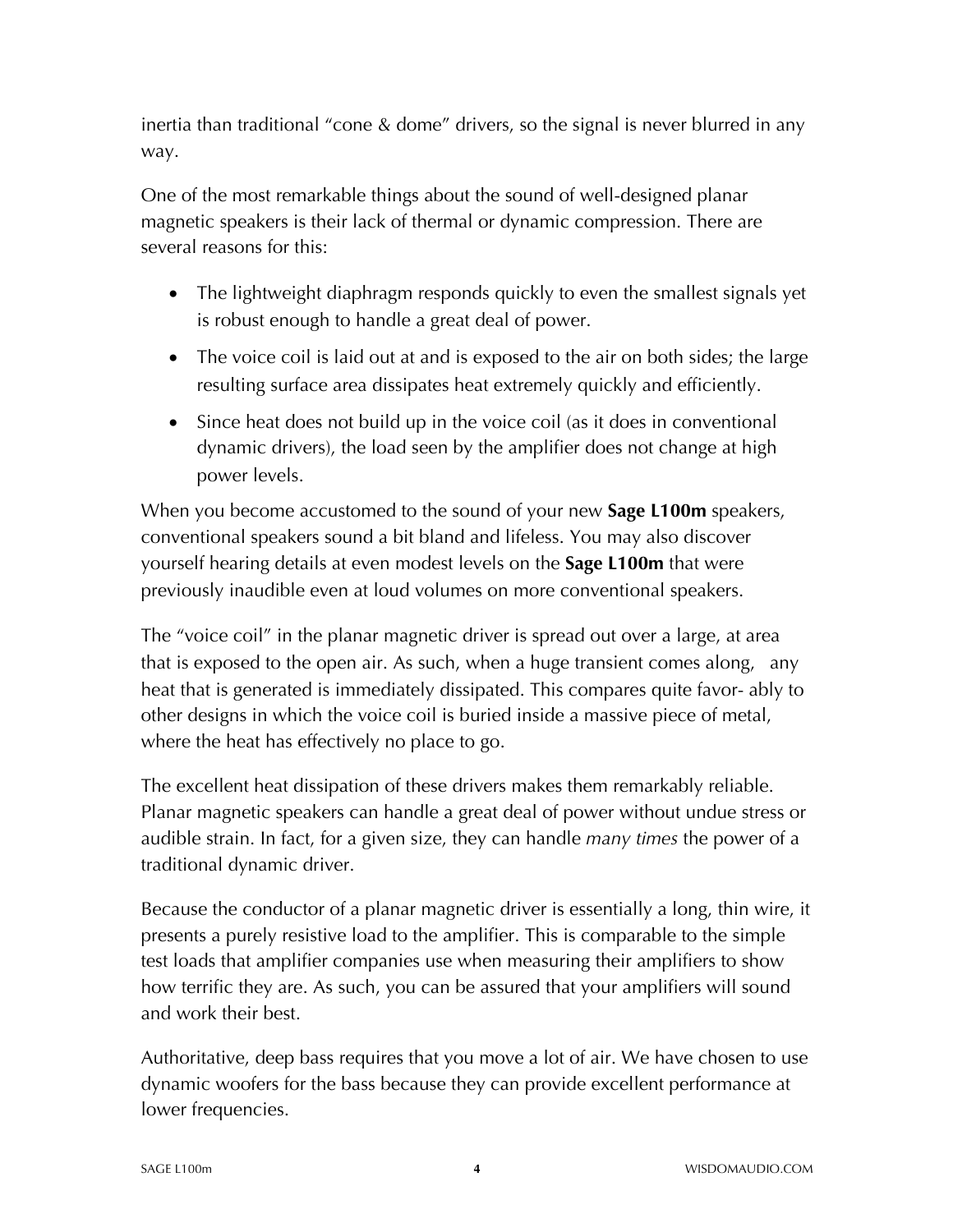inertia than traditional "cone & dome" drivers, so the signal is never blurred in any way.

One of the most remarkable things about the sound of well-designed planar magnetic speakers is their lack of thermal or dynamic compression. There are several reasons for this:

- The lightweight diaphragm responds quickly to even the smallest signals yet is robust enough to handle a great deal of power.
- The voice coil is laid out at and is exposed to the air on both sides; the large resulting surface area dissipates heat extremely quickly and efficiently.
- Since heat does not build up in the voice coil (as it does in conventional dynamic drivers), the load seen by the amplifier does not change at high power levels.

When you become accustomed to the sound of your new **Sage L100m** speakers, conventional speakers sound a bit bland and lifeless. You may also discover yourself hearing details at even modest levels on the **Sage L100m** that were previously inaudible even at loud volumes on more conventional speakers.

The "voice coil" in the planar magnetic driver is spread out over a large, at area that is exposed to the open air. As such, when a huge transient comes along, any heat that is generated is immediately dissipated. This compares quite favor- ably to other designs in which the voice coil is buried inside a massive piece of metal, where the heat has effectively no place to go.

The excellent heat dissipation of these drivers makes them remarkably reliable. Planar magnetic speakers can handle a great deal of power without undue stress or audible strain. In fact, for a given size, they can handle *many times* the power of a traditional dynamic driver.

Because the conductor of a planar magnetic driver is essentially a long, thin wire, it presents a purely resistive load to the amplifier. This is comparable to the simple test loads that amplifier companies use when measuring their amplifiers to show how terrific they are. As such, you can be assured that your amplifiers will sound and work their best.

Authoritative, deep bass requires that you move a lot of air. We have chosen to use dynamic woofers for the bass because they can provide excellent performance at lower frequencies.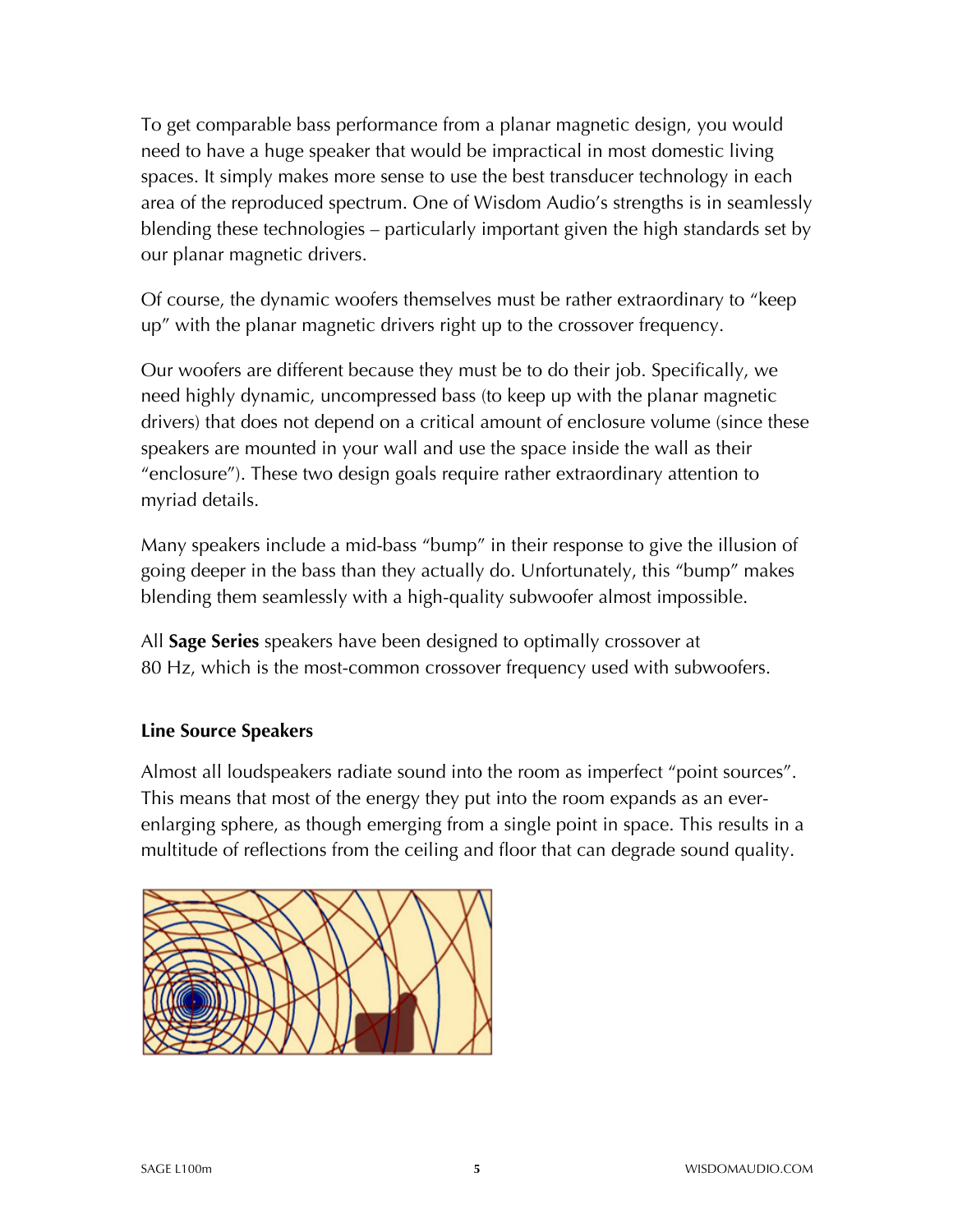To get comparable bass performance from a planar magnetic design, you would need to have a huge speaker that would be impractical in most domestic living spaces. It simply makes more sense to use the best transducer technology in each area of the reproduced spectrum. One of Wisdom Audio's strengths is in seamlessly blending these technologies – particularly important given the high standards set by our planar magnetic drivers.

Of course, the dynamic woofers themselves must be rather extraordinary to "keep up" with the planar magnetic drivers right up to the crossover frequency.

Our woofers are different because they must be to do their job. Specifically, we need highly dynamic, uncompressed bass (to keep up with the planar magnetic drivers) that does not depend on a critical amount of enclosure volume (since these speakers are mounted in your wall and use the space inside the wall as their "enclosure"). These two design goals require rather extraordinary attention to myriad details.

Many speakers include a mid-bass "bump" in their response to give the illusion of going deeper in the bass than they actually do. Unfortunately, this "bump" makes blending them seamlessly with a high-quality subwoofer almost impossible.

All **Sage Series** speakers have been designed to optimally crossover at 80 Hz, which is the most-common crossover frequency used with subwoofers.

#### **Line Source Speakers**

Almost all loudspeakers radiate sound into the room as imperfect "point sources". This means that most of the energy they put into the room expands as an everenlarging sphere, as though emerging from a single point in space. This results in a multitude of reflections from the ceiling and floor that can degrade sound quality.

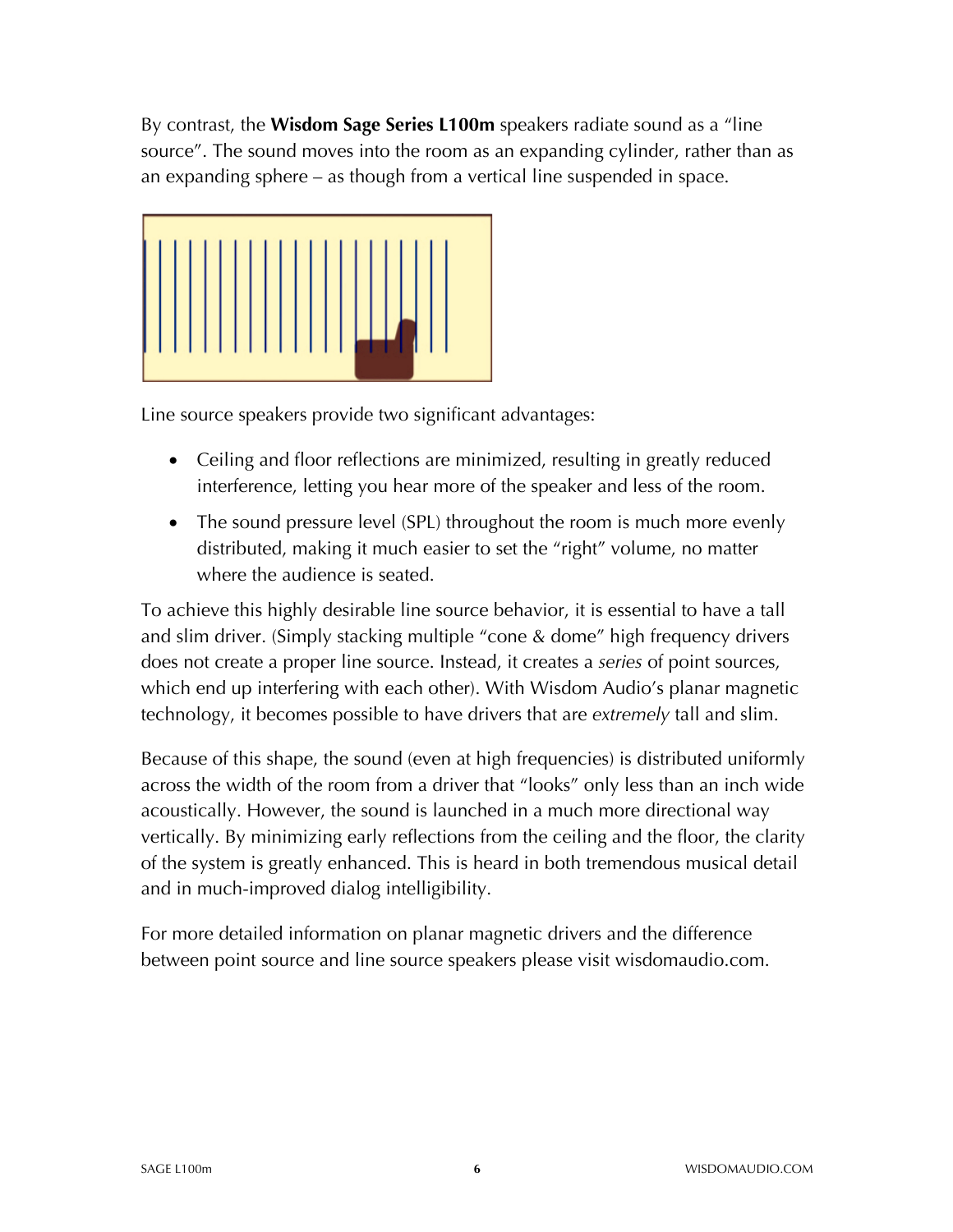By contrast, the **Wisdom Sage Series L100m** speakers radiate sound as a "line source". The sound moves into the room as an expanding cylinder, rather than as an expanding sphere – as though from a vertical line suspended in space.



Line source speakers provide two significant advantages:

- Ceiling and floor reflections are minimized, resulting in greatly reduced interference, letting you hear more of the speaker and less of the room.
- The sound pressure level (SPL) throughout the room is much more evenly distributed, making it much easier to set the "right" volume, no matter where the audience is seated.

To achieve this highly desirable line source behavior, it is essential to have a tall and slim driver. (Simply stacking multiple "cone & dome" high frequency drivers does not create a proper line source. Instead, it creates a *series* of point sources, which end up interfering with each other). With Wisdom Audio's planar magnetic technology, it becomes possible to have drivers that are *extremely* tall and slim.

Because of this shape, the sound (even at high frequencies) is distributed uniformly across the width of the room from a driver that "looks" only less than an inch wide acoustically. However, the sound is launched in a much more directional way vertically. By minimizing early reflections from the ceiling and the floor, the clarity of the system is greatly enhanced. This is heard in both tremendous musical detail and in much-improved dialog intelligibility.

For more detailed information on planar magnetic drivers and the difference between point source and line source speakers please visit wisdomaudio.com.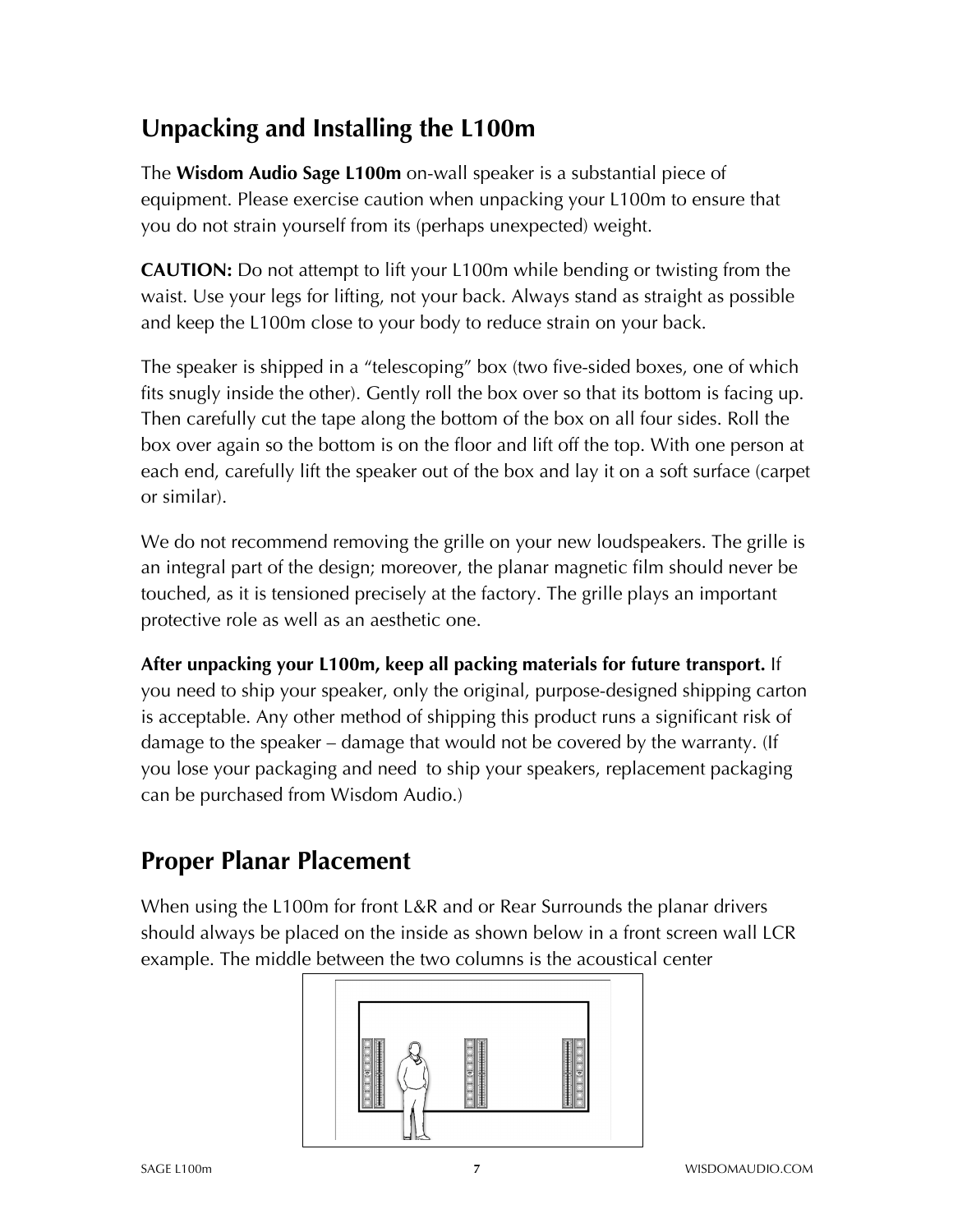## **Unpacking and Installing the L100m**

The **Wisdom Audio Sage L100m** on-wall speaker is a substantial piece of equipment. Please exercise caution when unpacking your L100m to ensure that you do not strain yourself from its (perhaps unexpected) weight.

**CAUTION:** Do not attempt to lift your L100m while bending or twisting from the waist. Use your legs for lifting, not your back. Always stand as straight as possible and keep the L100m close to your body to reduce strain on your back.

The speaker is shipped in a "telescoping" box (two five-sided boxes, one of which fits snugly inside the other). Gently roll the box over so that its bottom is facing up. Then carefully cut the tape along the bottom of the box on all four sides. Roll the box over again so the bottom is on the floor and lift off the top. With one person at each end, carefully lift the speaker out of the box and lay it on a soft surface (carpet or similar).

We do not recommend removing the grille on your new loudspeakers. The grille is an integral part of the design; moreover, the planar magnetic film should never be touched, as it is tensioned precisely at the factory. The grille plays an important protective role as well as an aesthetic one.

**After unpacking your L100m, keep all packing materials for future transport.** If you need to ship your speaker, only the original, purpose-designed shipping carton is acceptable. Any other method of shipping this product runs a significant risk of damage to the speaker – damage that would not be covered by the warranty. (If you lose your packaging and need to ship your speakers, replacement packaging can be purchased from Wisdom Audio.)

## **Proper Planar Placement**

When using the L100m for front L&R and or Rear Surrounds the planar drivers should always be placed on the inside as shown below in a front screen wall LCR example. The middle between the two columns is the acoustical center

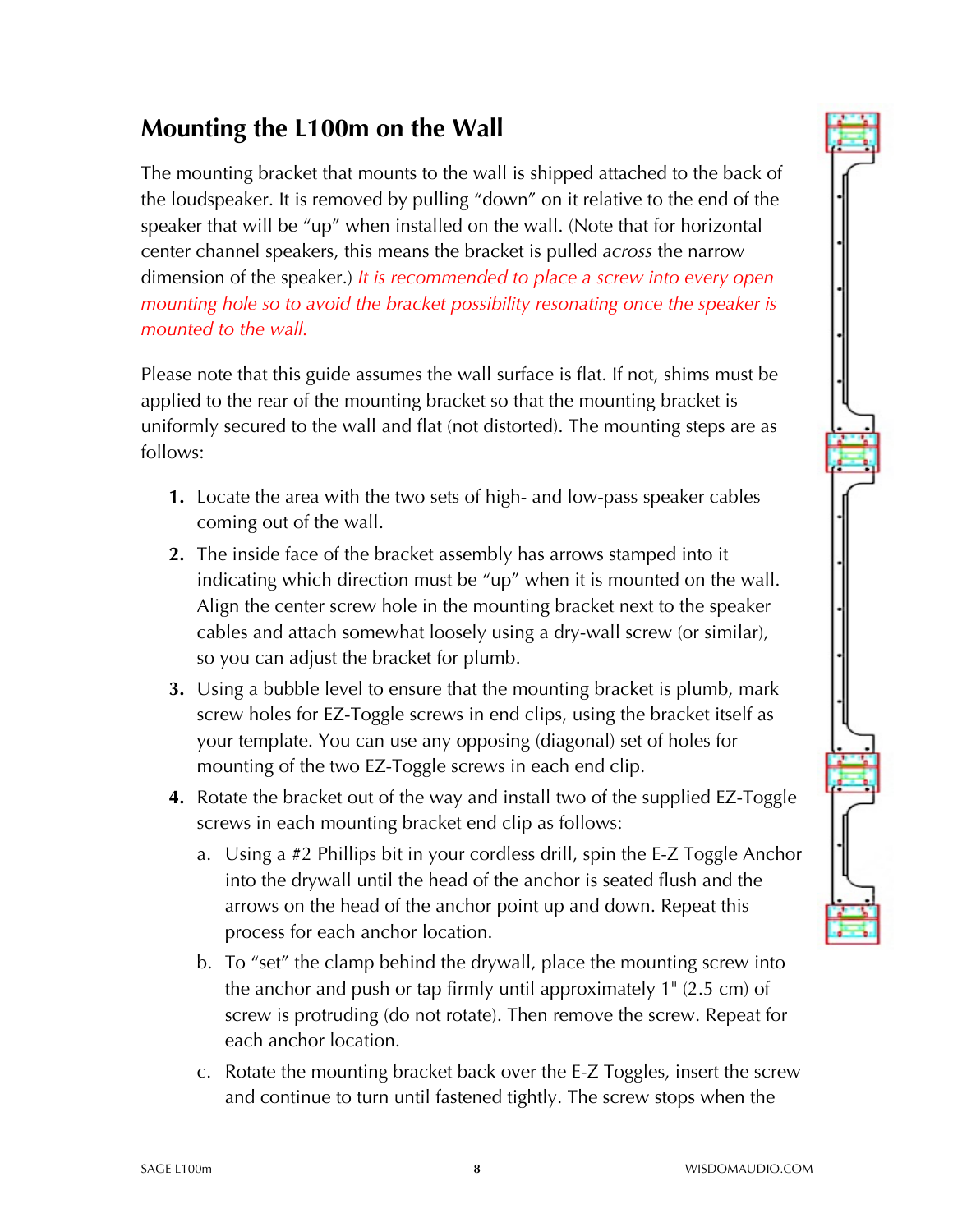## **Mounting the L100m on the Wall**

The mounting bracket that mounts to the wall is shipped attached to the back of the loudspeaker. It is removed by pulling "down" on it relative to the end of the speaker that will be "up" when installed on the wall. (Note that for horizontal center channel speakers, this means the bracket is pulled *across* the narrow dimension of the speaker.) *It is recommended to place a screw into every open mounting hole so to avoid the bracket possibility resonating once the speaker is mounted to the wall.* 

Please note that this guide assumes the wall surface is flat. If not, shims must be applied to the rear of the mounting bracket so that the mounting bracket is uniformly secured to the wall and flat (not distorted). The mounting steps are as follows:

- **1.** Locate the area with the two sets of high- and low-pass speaker cables coming out of the wall.
- **2.** The inside face of the bracket assembly has arrows stamped into it indicating which direction must be "up" when it is mounted on the wall. Align the center screw hole in the mounting bracket next to the speaker cables and attach somewhat loosely using a dry-wall screw (or similar), so you can adjust the bracket for plumb.
- **3.** Using a bubble level to ensure that the mounting bracket is plumb, mark screw holes for EZ-Toggle screws in end clips, using the bracket itself as your template. You can use any opposing (diagonal) set of holes for mounting of the two EZ-Toggle screws in each end clip.
- **4.** Rotate the bracket out of the way and install two of the supplied EZ-Toggle screws in each mounting bracket end clip as follows:
	- a. Using a #2 Phillips bit in your cordless drill, spin the E-Z Toggle Anchor into the drywall until the head of the anchor is seated flush and the arrows on the head of the anchor point up and down. Repeat this process for each anchor location.
	- b. To "set" the clamp behind the drywall, place the mounting screw into the anchor and push or tap firmly until approximately 1" (2.5 cm) of screw is protruding (do not rotate). Then remove the screw. Repeat for each anchor location.
	- c. Rotate the mounting bracket back over the E-Z Toggles, insert the screw and continue to turn until fastened tightly. The screw stops when the

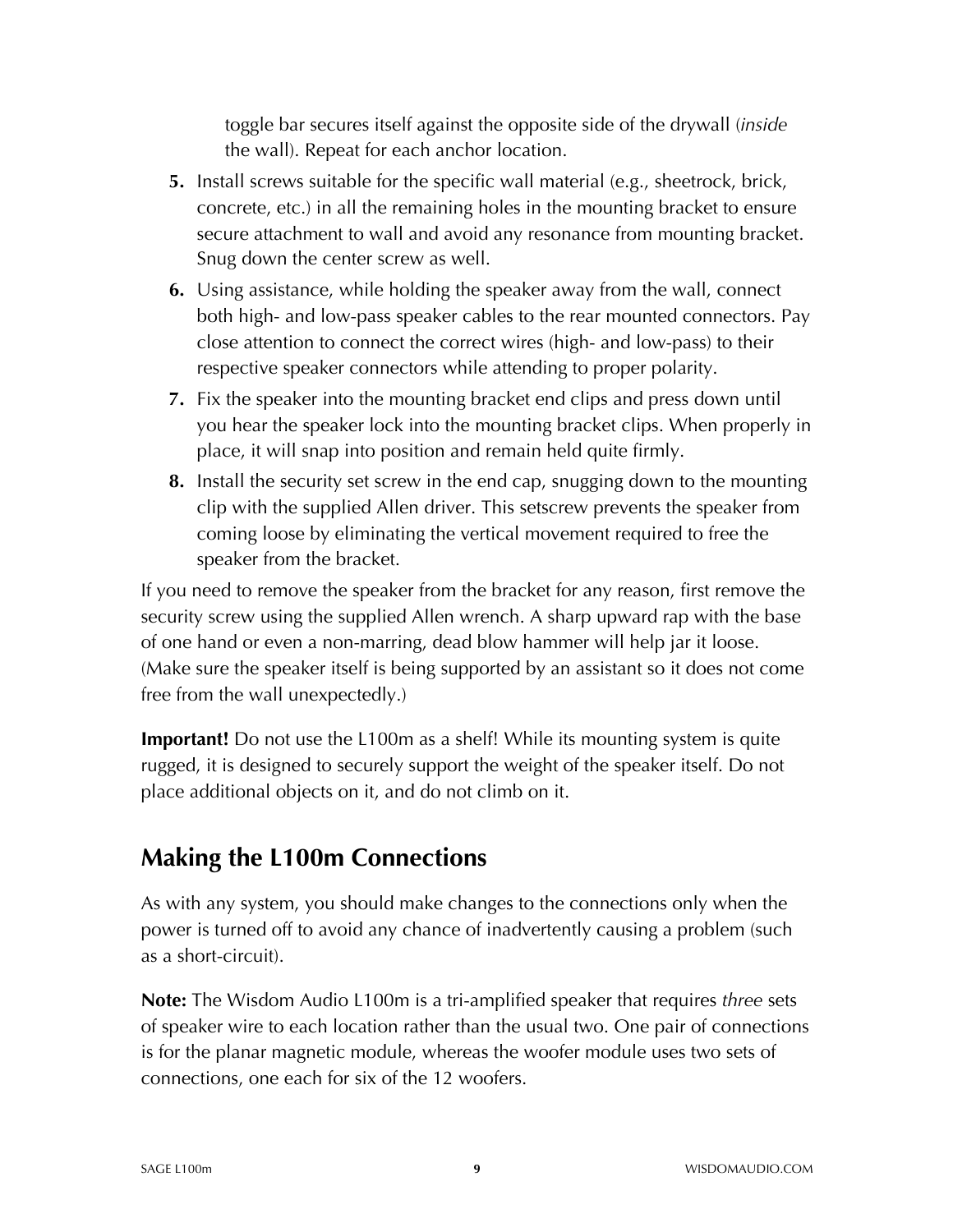toggle bar secures itself against the opposite side of the drywall (*inside*  the wall). Repeat for each anchor location.

- **5.** Install screws suitable for the specific wall material (e.g., sheetrock, brick, concrete, etc.) in all the remaining holes in the mounting bracket to ensure secure attachment to wall and avoid any resonance from mounting bracket. Snug down the center screw as well.
- **6.** Using assistance, while holding the speaker away from the wall, connect both high- and low-pass speaker cables to the rear mounted connectors. Pay close attention to connect the correct wires (high- and low-pass) to their respective speaker connectors while attending to proper polarity.
- **7.** Fix the speaker into the mounting bracket end clips and press down until you hear the speaker lock into the mounting bracket clips. When properly in place, it will snap into position and remain held quite firmly.
- **8.** Install the security set screw in the end cap, snugging down to the mounting clip with the supplied Allen driver. This setscrew prevents the speaker from coming loose by eliminating the vertical movement required to free the speaker from the bracket.

If you need to remove the speaker from the bracket for any reason, first remove the security screw using the supplied Allen wrench. A sharp upward rap with the base of one hand or even a non-marring, dead blow hammer will help jar it loose. (Make sure the speaker itself is being supported by an assistant so it does not come free from the wall unexpectedly.)

**Important!** Do not use the L100m as a shelf! While its mounting system is quite rugged, it is designed to securely support the weight of the speaker itself. Do not place additional objects on it, and do not climb on it.

#### **Making the L100m Connections**

As with any system, you should make changes to the connections only when the power is turned off to avoid any chance of inadvertently causing a problem (such as a short-circuit).

**Note:** The Wisdom Audio L100m is a tri-amplified speaker that requires *three* sets of speaker wire to each location rather than the usual two. One pair of connections is for the planar magnetic module, whereas the woofer module uses two sets of connections, one each for six of the 12 woofers.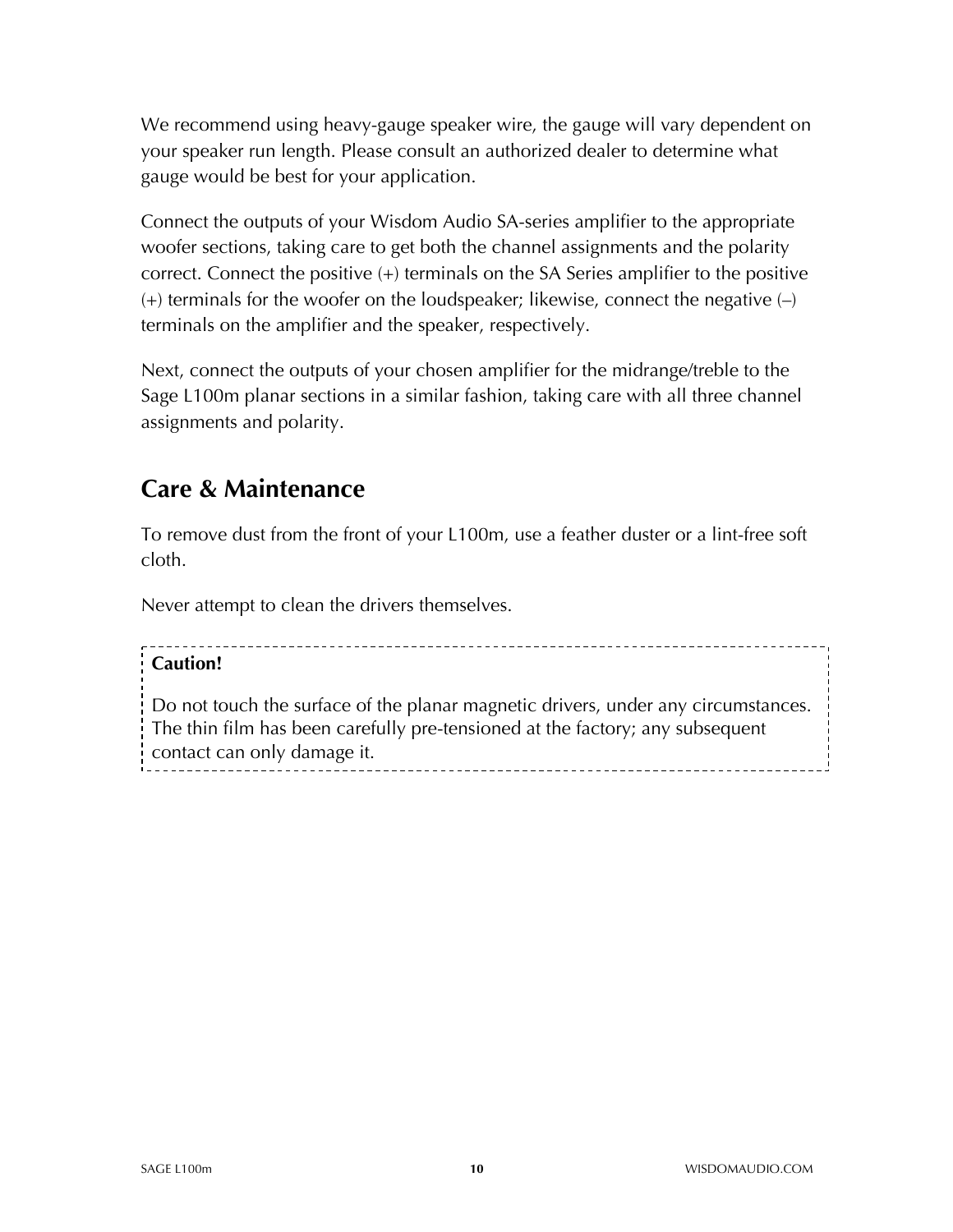We recommend using heavy-gauge speaker wire, the gauge will vary dependent on your speaker run length. Please consult an authorized dealer to determine what gauge would be best for your application.

Connect the outputs of your Wisdom Audio SA-series amplifier to the appropriate woofer sections, taking care to get both the channel assignments and the polarity correct. Connect the positive (+) terminals on the SA Series amplifier to the positive  $(+)$  terminals for the woofer on the loudspeaker; likewise, connect the negative  $(-)$ terminals on the amplifier and the speaker, respectively.

Next, connect the outputs of your chosen amplifier for the midrange/treble to the Sage L100m planar sections in a similar fashion, taking care with all three channel assignments and polarity.

#### **Care & Maintenance**

To remove dust from the front of your L100m, use a feather duster or a lint-free soft cloth.

Never attempt to clean the drivers themselves.

#### **Caution!**

Do not touch the surface of the planar magnetic drivers, under any circumstances. The thin film has been carefully pre-tensioned at the factory; any subsequent contact can only damage it.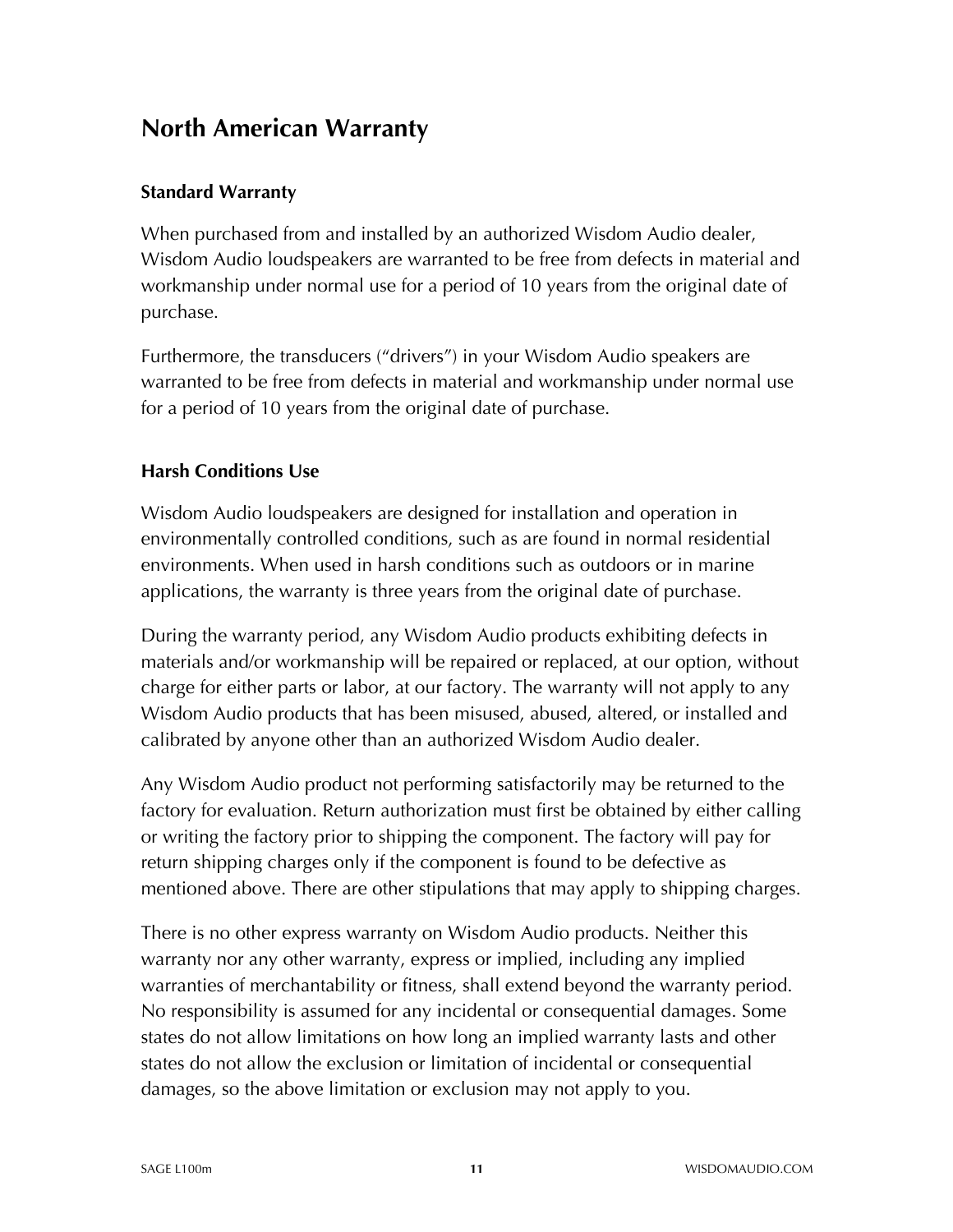#### **North American Warranty**

#### **Standard Warranty**

When purchased from and installed by an authorized Wisdom Audio dealer, Wisdom Audio loudspeakers are warranted to be free from defects in material and workmanship under normal use for a period of 10 years from the original date of purchase.

Furthermore, the transducers ("drivers") in your Wisdom Audio speakers are warranted to be free from defects in material and workmanship under normal use for a period of 10 years from the original date of purchase.

#### **Harsh Conditions Use**

Wisdom Audio loudspeakers are designed for installation and operation in environmentally controlled conditions, such as are found in normal residential environments. When used in harsh conditions such as outdoors or in marine applications, the warranty is three years from the original date of purchase.

During the warranty period, any Wisdom Audio products exhibiting defects in materials and/or workmanship will be repaired or replaced, at our option, without charge for either parts or labor, at our factory. The warranty will not apply to any Wisdom Audio products that has been misused, abused, altered, or installed and calibrated by anyone other than an authorized Wisdom Audio dealer.

Any Wisdom Audio product not performing satisfactorily may be returned to the factory for evaluation. Return authorization must first be obtained by either calling or writing the factory prior to shipping the component. The factory will pay for return shipping charges only if the component is found to be defective as mentioned above. There are other stipulations that may apply to shipping charges.

There is no other express warranty on Wisdom Audio products. Neither this warranty nor any other warranty, express or implied, including any implied warranties of merchantability or fitness, shall extend beyond the warranty period. No responsibility is assumed for any incidental or consequential damages. Some states do not allow limitations on how long an implied warranty lasts and other states do not allow the exclusion or limitation of incidental or consequential damages, so the above limitation or exclusion may not apply to you.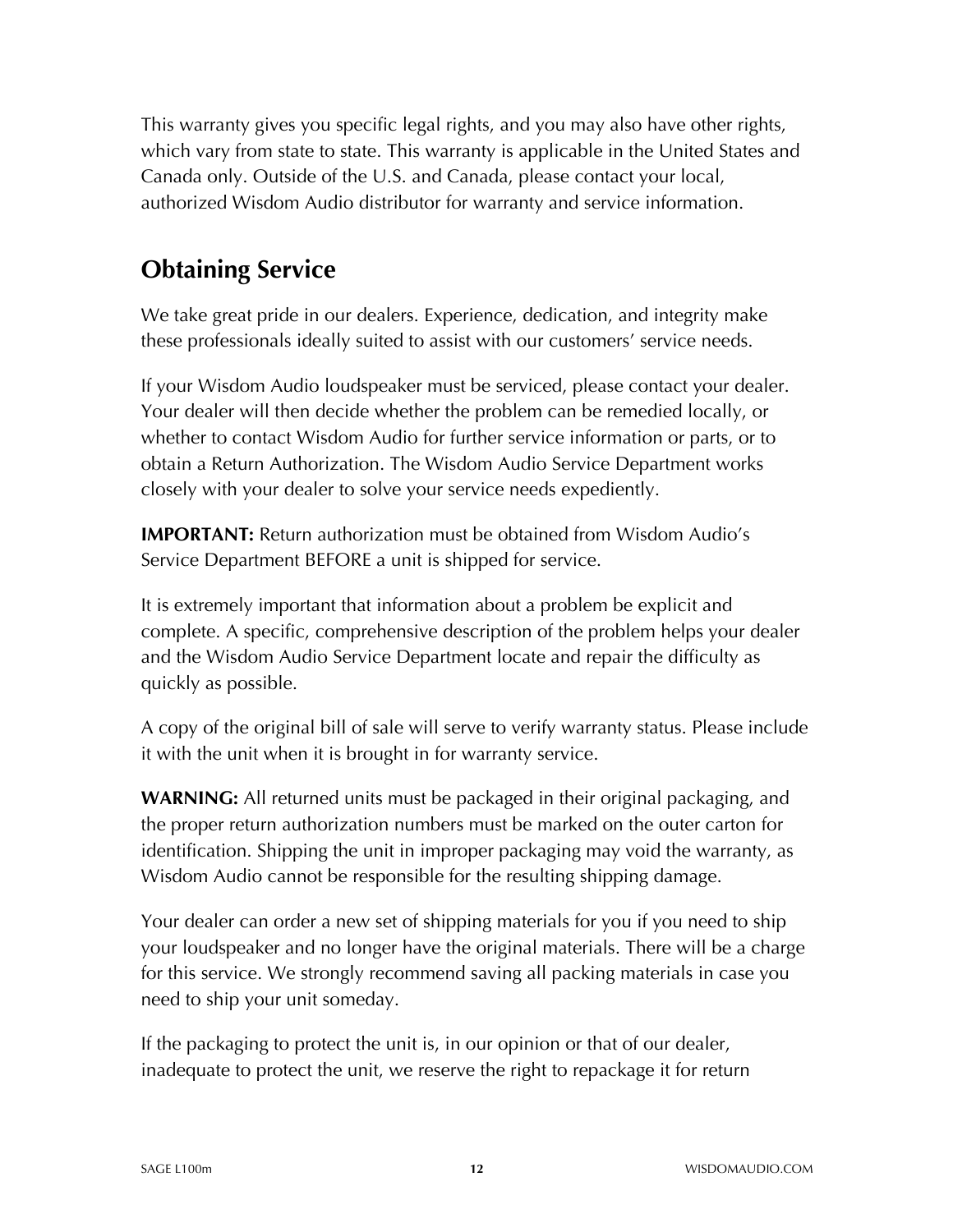This warranty gives you specific legal rights, and you may also have other rights, which vary from state to state. This warranty is applicable in the United States and Canada only. Outside of the U.S. and Canada, please contact your local, authorized Wisdom Audio distributor for warranty and service information.

### **Obtaining Service**

We take great pride in our dealers. Experience, dedication, and integrity make these professionals ideally suited to assist with our customers' service needs.

If your Wisdom Audio loudspeaker must be serviced, please contact your dealer. Your dealer will then decide whether the problem can be remedied locally, or whether to contact Wisdom Audio for further service information or parts, or to obtain a Return Authorization. The Wisdom Audio Service Department works closely with your dealer to solve your service needs expediently.

**IMPORTANT:** Return authorization must be obtained from Wisdom Audio's Service Department BEFORE a unit is shipped for service.

It is extremely important that information about a problem be explicit and complete. A specific, comprehensive description of the problem helps your dealer and the Wisdom Audio Service Department locate and repair the difficulty as quickly as possible.

A copy of the original bill of sale will serve to verify warranty status. Please include it with the unit when it is brought in for warranty service.

**WARNING:** All returned units must be packaged in their original packaging, and the proper return authorization numbers must be marked on the outer carton for identification. Shipping the unit in improper packaging may void the warranty, as Wisdom Audio cannot be responsible for the resulting shipping damage.

Your dealer can order a new set of shipping materials for you if you need to ship your loudspeaker and no longer have the original materials. There will be a charge for this service. We strongly recommend saving all packing materials in case you need to ship your unit someday.

If the packaging to protect the unit is, in our opinion or that of our dealer, inadequate to protect the unit, we reserve the right to repackage it for return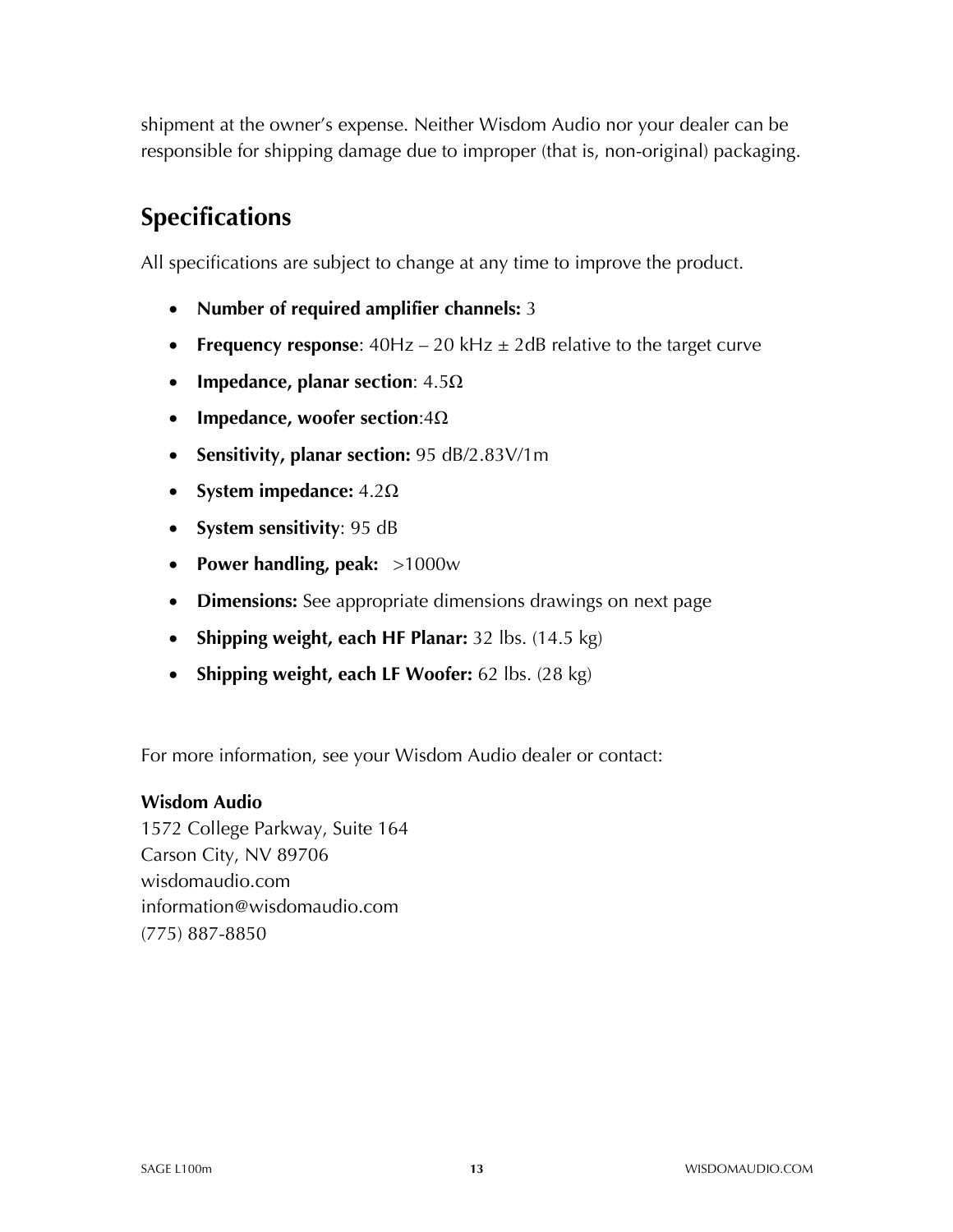shipment at the owner's expense. Neither Wisdom Audio nor your dealer can be responsible for shipping damage due to improper (that is, non-original) packaging.

## **Specifications**

All specifications are subject to change at any time to improve the product.

- **Number of required amplifier channels:** 3
- **Frequency response**: 40Hz 20 kHz ± 2dB relative to the target curve
- **Impedance, planar section**: 4.5Ω
- **Impedance, woofer section**:4Ω
- **Sensitivity, planar section:** 95 dB/2.83V/1m
- **System impedance:** 4.2Ω
- **System sensitivity**: 95 dB
- **Power handling, peak:** >1000w
- **Dimensions:** See appropriate dimensions drawings on next page
- **Shipping weight, each HF Planar:** 32 lbs. (14.5 kg)
- **Shipping weight, each LF Woofer:** 62 lbs. (28 kg)

For more information, see your Wisdom Audio dealer or contact:

#### **Wisdom Audio**

1572 College Parkway, Suite 164 Carson City, NV 89706 wisdomaudio.com information@wisdomaudio.com (775) 887-8850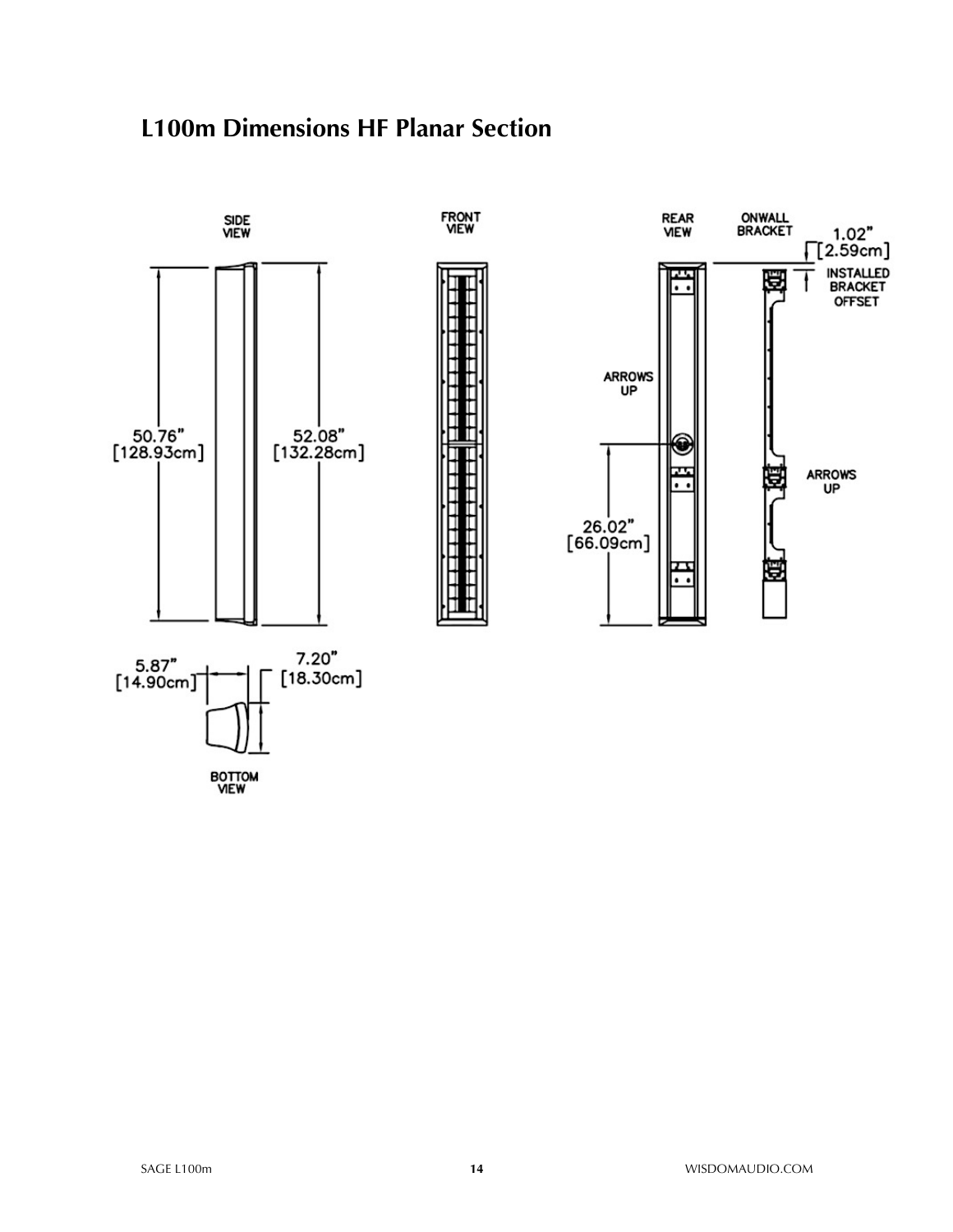#### **L100m Dimensions HF Planar Section**

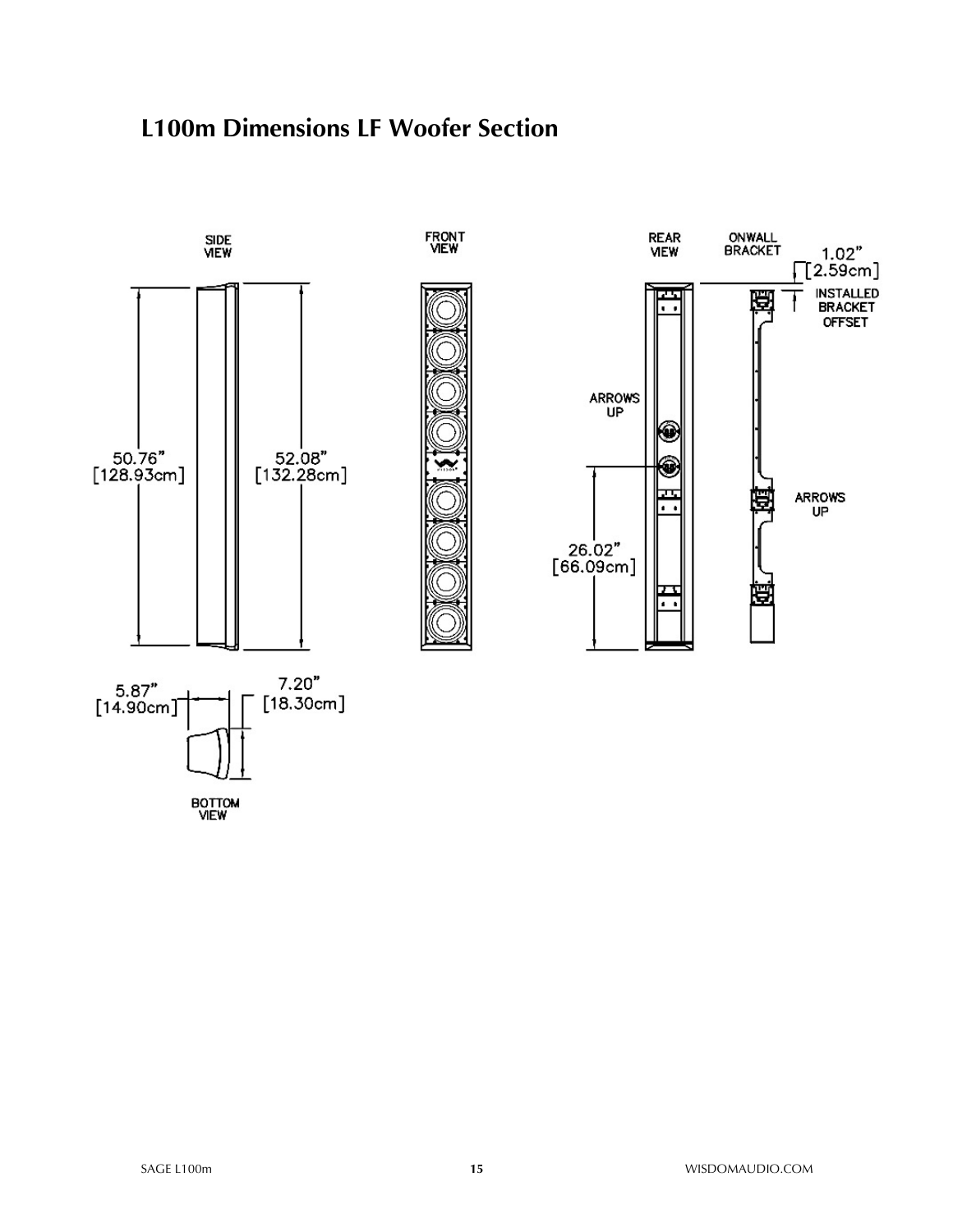#### **L100m Dimensions LF Woofer Section**